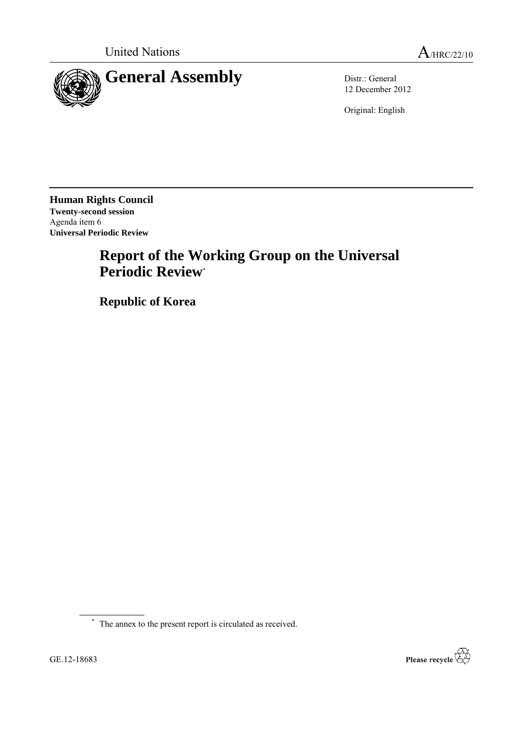

12 December 2012

Original: English

**Human Rights Council Twenty-second session** Agenda item 6 **Universal Periodic Review**

# **Report of the Working Group on the Universal Periodic Review**\*

**Republic of Korea**

\* The annex to the present report is circulated as received.

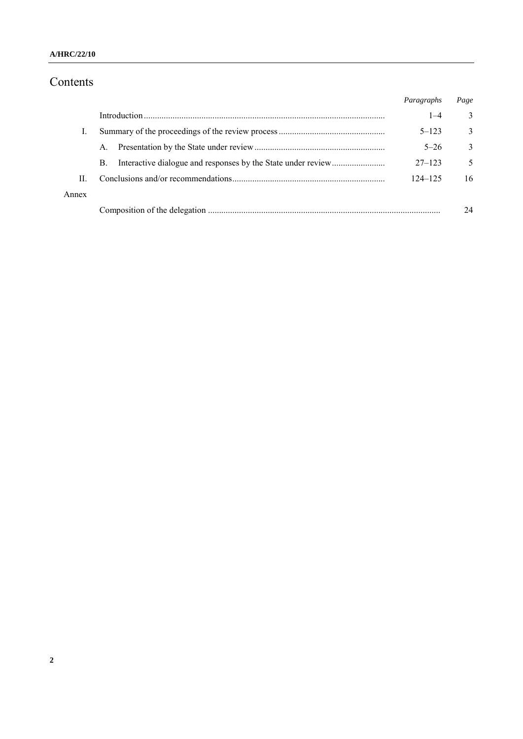#### **A/HRC/22/10**

# Contents

|       |    | Paragraphs  | Page         |
|-------|----|-------------|--------------|
|       |    | $1 - 4$     | 3            |
|       |    | $5 - 123$   | 3            |
|       | A. | $5 - 26$    | $\mathbf{3}$ |
|       | B. | $27 - 123$  | 5            |
| П     |    | $124 - 125$ | 16           |
| Annex |    |             |              |
|       |    |             | 24           |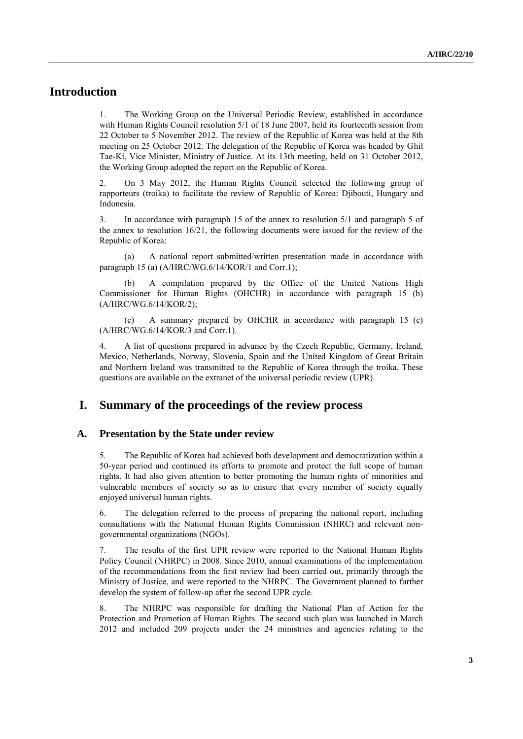# **Introduction**

1. The Working Group on the Universal Periodic Review, established in accordance with Human Rights Council resolution 5/1 of 18 June 2007, held its fourteenth session from 22 October to 5 November 2012. The review of the Republic of Korea was held at the 8th meeting on 25 October 2012. The delegation of the Republic of Korea was headed by Ghil Tae-Ki, Vice Minister, Ministry of Justice. At its 13th meeting, held on 31 October 2012, the Working Group adopted the report on the Republic of Korea.

2. On 3 May 2012, the Human Rights Council selected the following group of rapporteurs (troika) to facilitate the review of Republic of Korea: Djibouti, Hungary and Indonesia.

3. In accordance with paragraph 15 of the annex to resolution 5/1 and paragraph 5 of the annex to resolution 16/21, the following documents were issued for the review of the Republic of Korea:

(a) A national report submitted/written presentation made in accordance with paragraph 15 (a) (A/HRC/WG.6/14/KOR/1 and Corr.1);

A compilation prepared by the Office of the United Nations High Commissioner for Human Rights (OHCHR) in accordance with paragraph 15 (b) (A/HRC/WG.6/14/KOR/2);

(c) A summary prepared by OHCHR in accordance with paragraph 15 (c) (A/HRC/WG.6/14/KOR/3 and Corr.1).

4. A list of questions prepared in advance by the Czech Republic, Germany, Ireland, Mexico, Netherlands, Norway, Slovenia, Spain and the United Kingdom of Great Britain and Northern Ireland was transmitted to the Republic of Korea through the troika. These questions are available on the extranet of the universal periodic review (UPR).

## **I. Summary of the proceedings of the review process**

#### **A. Presentation by the State under review**

5. The Republic of Korea had achieved both development and democratization within a 50-year period and continued its efforts to promote and protect the full scope of human rights. It had also given attention to better promoting the human rights of minorities and vulnerable members of society so as to ensure that every member of society equally enjoyed universal human rights.

6. The delegation referred to the process of preparing the national report, including consultations with the National Human Rights Commission (NHRC) and relevant nongovernmental organizations (NGOs).

7. The results of the first UPR review were reported to the National Human Rights Policy Council (NHRPC) in 2008. Since 2010, annual examinations of the implementation of the recommendations from the first review had been carried out, primarily through the Ministry of Justice, and were reported to the NHRPC. The Government planned to further develop the system of follow-up after the second UPR cycle.

8. The NHRPC was responsible for drafting the National Plan of Action for the Protection and Promotion of Human Rights. The second such plan was launched in March 2012 and included 209 projects under the 24 ministries and agencies relating to the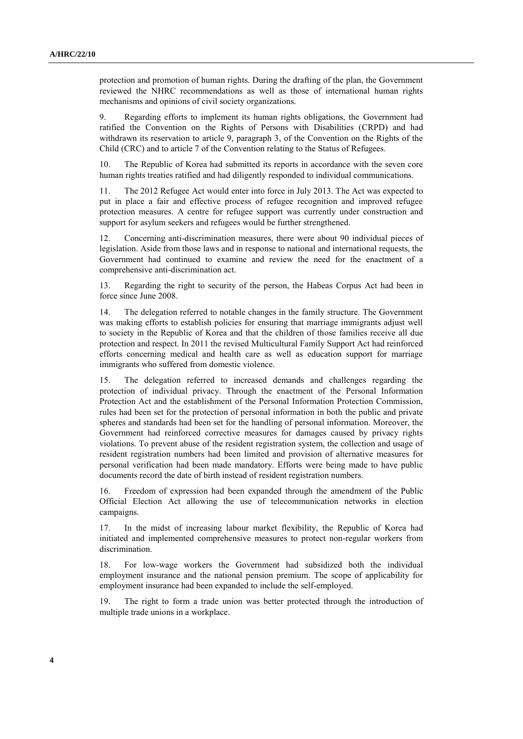protection and promotion of human rights. During the drafting of the plan, the Government reviewed the NHRC recommendations as well as those of international human rights mechanisms and opinions of civil society organizations.

9. Regarding efforts to implement its human rights obligations, the Government had ratified the Convention on the Rights of Persons with Disabilities (CRPD) and had withdrawn its reservation to article 9, paragraph 3, of the Convention on the Rights of the Child (CRC) and to article 7 of the Convention relating to the Status of Refugees.

10. The Republic of Korea had submitted its reports in accordance with the seven core human rights treaties ratified and had diligently responded to individual communications.

11. The 2012 Refugee Act would enter into force in July 2013. The Act was expected to put in place a fair and effective process of refugee recognition and improved refugee protection measures. A centre for refugee support was currently under construction and support for asylum seekers and refugees would be further strengthened.

12. Concerning anti-discrimination measures, there were about 90 individual pieces of legislation. Aside from those laws and in response to national and international requests, the Government had continued to examine and review the need for the enactment of a comprehensive anti-discrimination act.

13. Regarding the right to security of the person, the Habeas Corpus Act had been in force since June 2008.

14. The delegation referred to notable changes in the family structure. The Government was making efforts to establish policies for ensuring that marriage immigrants adjust well to society in the Republic of Korea and that the children of those families receive all due protection and respect. In 2011 the revised Multicultural Family Support Act had reinforced efforts concerning medical and health care as well as education support for marriage immigrants who suffered from domestic violence.

15. The delegation referred to increased demands and challenges regarding the protection of individual privacy. Through the enactment of the Personal Information Protection Act and the establishment of the Personal Information Protection Commission, rules had been set for the protection of personal information in both the public and private spheres and standards had been set for the handling of personal information. Moreover, the Government had reinforced corrective measures for damages caused by privacy rights violations. To prevent abuse of the resident registration system, the collection and usage of resident registration numbers had been limited and provision of alternative measures for personal verification had been made mandatory. Efforts were being made to have public documents record the date of birth instead of resident registration numbers.

16. Freedom of expression had been expanded through the amendment of the Public Official Election Act allowing the use of telecommunication networks in election campaigns.

17. In the midst of increasing labour market flexibility, the Republic of Korea had initiated and implemented comprehensive measures to protect non-regular workers from discrimination.

18. For low-wage workers the Government had subsidized both the individual employment insurance and the national pension premium. The scope of applicability for employment insurance had been expanded to include the self-employed.

19. The right to form a trade union was better protected through the introduction of multiple trade unions in a workplace.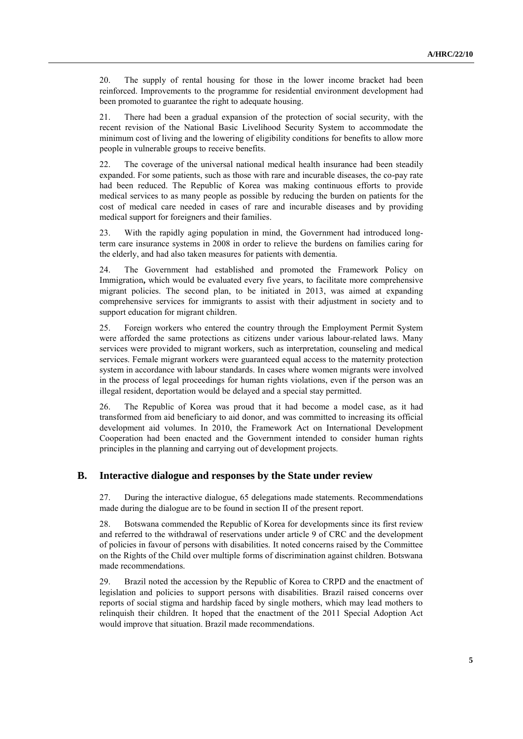20. The supply of rental housing for those in the lower income bracket had been reinforced. Improvements to the programme for residential environment development had been promoted to guarantee the right to adequate housing.

21. There had been a gradual expansion of the protection of social security, with the recent revision of the National Basic Livelihood Security System to accommodate the minimum cost of living and the lowering of eligibility conditions for benefits to allow more people in vulnerable groups to receive benefits.

22. The coverage of the universal national medical health insurance had been steadily expanded. For some patients, such as those with rare and incurable diseases, the co-pay rate had been reduced. The Republic of Korea was making continuous efforts to provide medical services to as many people as possible by reducing the burden on patients for the cost of medical care needed in cases of rare and incurable diseases and by providing medical support for foreigners and their families.

23. With the rapidly aging population in mind, the Government had introduced longterm care insurance systems in 2008 in order to relieve the burdens on families caring for the elderly, and had also taken measures for patients with dementia.

24. The Government had established and promoted the Framework Policy on Immigration**,** which would be evaluated every five years, to facilitate more comprehensive migrant policies. The second plan, to be initiated in 2013, was aimed at expanding comprehensive services for immigrants to assist with their adjustment in society and to support education for migrant children.

25. Foreign workers who entered the country through the Employment Permit System were afforded the same protections as citizens under various labour-related laws. Many services were provided to migrant workers, such as interpretation, counseling and medical services. Female migrant workers were guaranteed equal access to the maternity protection system in accordance with labour standards. In cases where women migrants were involved in the process of legal proceedings for human rights violations, even if the person was an illegal resident, deportation would be delayed and a special stay permitted.

26. The Republic of Korea was proud that it had become a model case, as it had transformed from aid beneficiary to aid donor, and was committed to increasing its official development aid volumes. In 2010, the Framework Act on International Development Cooperation had been enacted and the Government intended to consider human rights principles in the planning and carrying out of development projects.

#### **B. Interactive dialogue and responses by the State under review**

27. During the interactive dialogue, 65 delegations made statements. Recommendations made during the dialogue are to be found in section II of the present report.

28. Botswana commended the Republic of Korea for developments since its first review and referred to the withdrawal of reservations under article 9 of CRC and the development of policies in favour of persons with disabilities. It noted concerns raised by the Committee on the Rights of the Child over multiple forms of discrimination against children. Botswana made recommendations.

29. Brazil noted the accession by the Republic of Korea to CRPD and the enactment of legislation and policies to support persons with disabilities. Brazil raised concerns over reports of social stigma and hardship faced by single mothers, which may lead mothers to relinquish their children. It hoped that the enactment of the 2011 Special Adoption Act would improve that situation. Brazil made recommendations.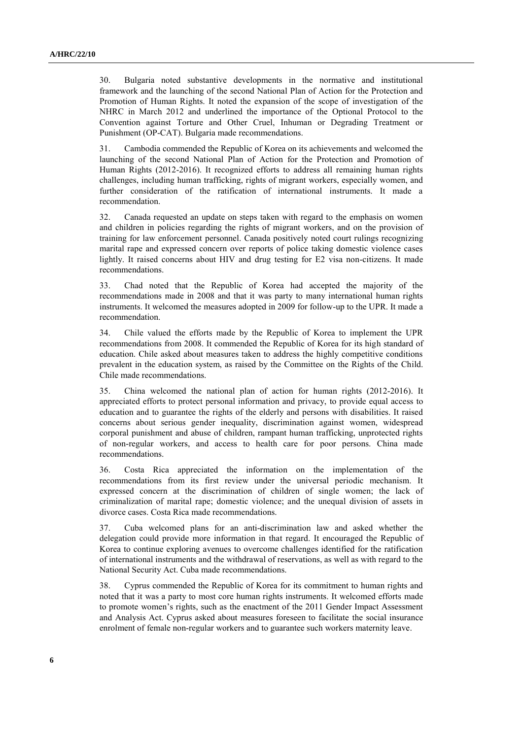30. Bulgaria noted substantive developments in the normative and institutional framework and the launching of the second National Plan of Action for the Protection and Promotion of Human Rights. It noted the expansion of the scope of investigation of the NHRC in March 2012 and underlined the importance of the Optional Protocol to the Convention against Torture and Other Cruel, Inhuman or Degrading Treatment or Punishment (OP-CAT). Bulgaria made recommendations.

31. Cambodia commended the Republic of Korea on its achievements and welcomed the launching of the second National Plan of Action for the Protection and Promotion of Human Rights (2012-2016). It recognized efforts to address all remaining human rights challenges, including human trafficking, rights of migrant workers, especially women, and further consideration of the ratification of international instruments. It made a recommendation.

32. Canada requested an update on steps taken with regard to the emphasis on women and children in policies regarding the rights of migrant workers, and on the provision of training for law enforcement personnel. Canada positively noted court rulings recognizing marital rape and expressed concern over reports of police taking domestic violence cases lightly. It raised concerns about HIV and drug testing for E2 visa non-citizens. It made recommendations.

33. Chad noted that the Republic of Korea had accepted the majority of the recommendations made in 2008 and that it was party to many international human rights instruments. It welcomed the measures adopted in 2009 for follow-up to the UPR. It made a recommendation.

34. Chile valued the efforts made by the Republic of Korea to implement the UPR recommendations from 2008. It commended the Republic of Korea for its high standard of education. Chile asked about measures taken to address the highly competitive conditions prevalent in the education system, as raised by the Committee on the Rights of the Child. Chile made recommendations.

35. China welcomed the national plan of action for human rights (2012-2016). It appreciated efforts to protect personal information and privacy, to provide equal access to education and to guarantee the rights of the elderly and persons with disabilities. It raised concerns about serious gender inequality, discrimination against women, widespread corporal punishment and abuse of children, rampant human trafficking, unprotected rights of non-regular workers, and access to health care for poor persons. China made recommendations.

36. Costa Rica appreciated the information on the implementation of the recommendations from its first review under the universal periodic mechanism. It expressed concern at the discrimination of children of single women; the lack of criminalization of marital rape; domestic violence; and the unequal division of assets in divorce cases. Costa Rica made recommendations.

37. Cuba welcomed plans for an anti-discrimination law and asked whether the delegation could provide more information in that regard. It encouraged the Republic of Korea to continue exploring avenues to overcome challenges identified for the ratification of international instruments and the withdrawal of reservations, as well as with regard to the National Security Act. Cuba made recommendations.

38. Cyprus commended the Republic of Korea for its commitment to human rights and noted that it was a party to most core human rights instruments. It welcomed efforts made to promote women's rights, such as the enactment of the 2011 Gender Impact Assessment and Analysis Act. Cyprus asked about measures foreseen to facilitate the social insurance enrolment of female non-regular workers and to guarantee such workers maternity leave.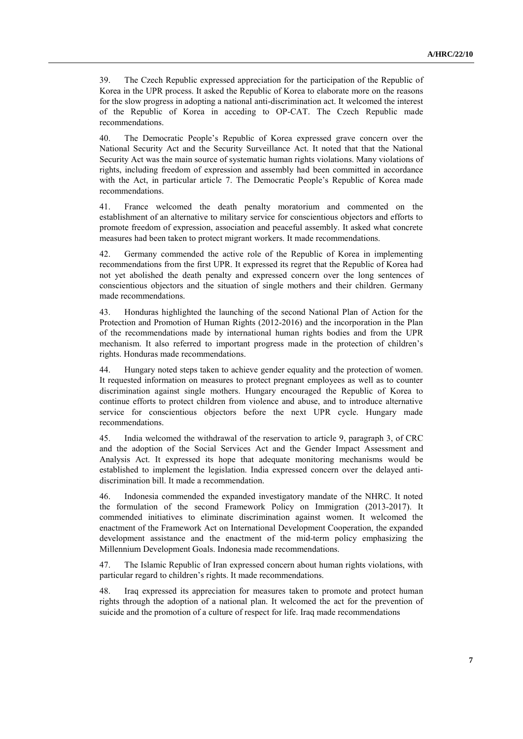39. The Czech Republic expressed appreciation for the participation of the Republic of Korea in the UPR process. It asked the Republic of Korea to elaborate more on the reasons for the slow progress in adopting a national anti-discrimination act. It welcomed the interest of the Republic of Korea in acceding to OP-CAT. The Czech Republic made recommendations.

40. The Democratic People's Republic of Korea expressed grave concern over the National Security Act and the Security Surveillance Act. It noted that that the National Security Act was the main source of systematic human rights violations. Many violations of rights, including freedom of expression and assembly had been committed in accordance with the Act, in particular article 7. The Democratic People's Republic of Korea made recommendations.

41. France welcomed the death penalty moratorium and commented on the establishment of an alternative to military service for conscientious objectors and efforts to promote freedom of expression, association and peaceful assembly. It asked what concrete measures had been taken to protect migrant workers. It made recommendations.

42. Germany commended the active role of the Republic of Korea in implementing recommendations from the first UPR. It expressed its regret that the Republic of Korea had not yet abolished the death penalty and expressed concern over the long sentences of conscientious objectors and the situation of single mothers and their children. Germany made recommendations.

43. Honduras highlighted the launching of the second National Plan of Action for the Protection and Promotion of Human Rights (2012-2016) and the incorporation in the Plan of the recommendations made by international human rights bodies and from the UPR mechanism. It also referred to important progress made in the protection of children's rights. Honduras made recommendations.

44. Hungary noted steps taken to achieve gender equality and the protection of women. It requested information on measures to protect pregnant employees as well as to counter discrimination against single mothers. Hungary encouraged the Republic of Korea to continue efforts to protect children from violence and abuse, and to introduce alternative service for conscientious objectors before the next UPR cycle. Hungary made recommendations.

45. India welcomed the withdrawal of the reservation to article 9, paragraph 3, of CRC and the adoption of the Social Services Act and the Gender Impact Assessment and Analysis Act. It expressed its hope that adequate monitoring mechanisms would be established to implement the legislation. India expressed concern over the delayed antidiscrimination bill. It made a recommendation.

46. Indonesia commended the expanded investigatory mandate of the NHRC. It noted the formulation of the second Framework Policy on Immigration (2013-2017). It commended initiatives to eliminate discrimination against women. It welcomed the enactment of the Framework Act on International Development Cooperation, the expanded development assistance and the enactment of the mid-term policy emphasizing the Millennium Development Goals. Indonesia made recommendations.

47. The Islamic Republic of Iran expressed concern about human rights violations, with particular regard to children's rights. It made recommendations.

48. Iraq expressed its appreciation for measures taken to promote and protect human rights through the adoption of a national plan. It welcomed the act for the prevention of suicide and the promotion of a culture of respect for life. Iraq made recommendations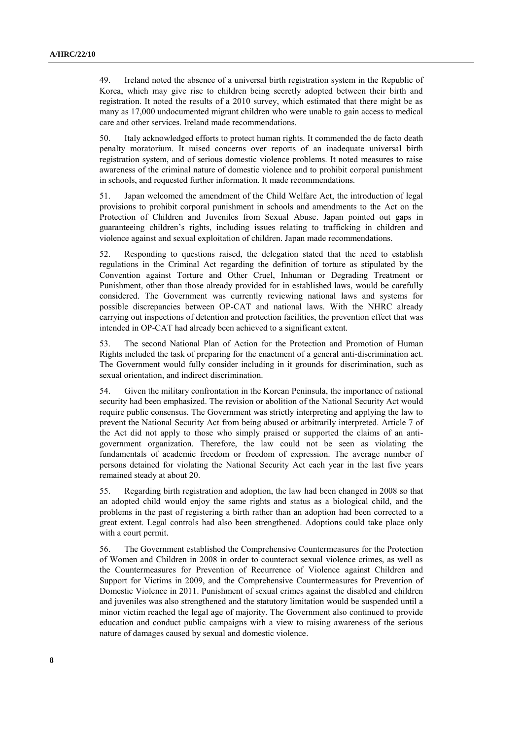49. Ireland noted the absence of a universal birth registration system in the Republic of Korea, which may give rise to children being secretly adopted between their birth and registration. It noted the results of a 2010 survey, which estimated that there might be as many as 17,000 undocumented migrant children who were unable to gain access to medical care and other services. Ireland made recommendations.

50. Italy acknowledged efforts to protect human rights. It commended the de facto death penalty moratorium. It raised concerns over reports of an inadequate universal birth registration system, and of serious domestic violence problems. It noted measures to raise awareness of the criminal nature of domestic violence and to prohibit corporal punishment in schools, and requested further information. It made recommendations.

51. Japan welcomed the amendment of the Child Welfare Act, the introduction of legal provisions to prohibit corporal punishment in schools and amendments to the Act on the Protection of Children and Juveniles from Sexual Abuse. Japan pointed out gaps in guaranteeing children's rights, including issues relating to trafficking in children and violence against and sexual exploitation of children. Japan made recommendations.

52. Responding to questions raised, the delegation stated that the need to establish regulations in the Criminal Act regarding the definition of torture as stipulated by the Convention against Torture and Other Cruel, Inhuman or Degrading Treatment or Punishment, other than those already provided for in established laws, would be carefully considered. The Government was currently reviewing national laws and systems for possible discrepancies between OP-CAT and national laws. With the NHRC already carrying out inspections of detention and protection facilities, the prevention effect that was intended in OP-CAT had already been achieved to a significant extent.

53. The second National Plan of Action for the Protection and Promotion of Human Rights included the task of preparing for the enactment of a general anti-discrimination act. The Government would fully consider including in it grounds for discrimination, such as sexual orientation, and indirect discrimination.

54. Given the military confrontation in the Korean Peninsula, the importance of national security had been emphasized. The revision or abolition of the National Security Act would require public consensus. The Government was strictly interpreting and applying the law to prevent the National Security Act from being abused or arbitrarily interpreted. Article 7 of the Act did not apply to those who simply praised or supported the claims of an antigovernment organization. Therefore, the law could not be seen as violating the fundamentals of academic freedom or freedom of expression. The average number of persons detained for violating the National Security Act each year in the last five years remained steady at about 20.

55. Regarding birth registration and adoption, the law had been changed in 2008 so that an adopted child would enjoy the same rights and status as a biological child, and the problems in the past of registering a birth rather than an adoption had been corrected to a great extent. Legal controls had also been strengthened. Adoptions could take place only with a court permit.

56. The Government established the Comprehensive Countermeasures for the Protection of Women and Children in 2008 in order to counteract sexual violence crimes, as well as the Countermeasures for Prevention of Recurrence of Violence against Children and Support for Victims in 2009, and the Comprehensive Countermeasures for Prevention of Domestic Violence in 2011. Punishment of sexual crimes against the disabled and children and juveniles was also strengthened and the statutory limitation would be suspended until a minor victim reached the legal age of majority. The Government also continued to provide education and conduct public campaigns with a view to raising awareness of the serious nature of damages caused by sexual and domestic violence.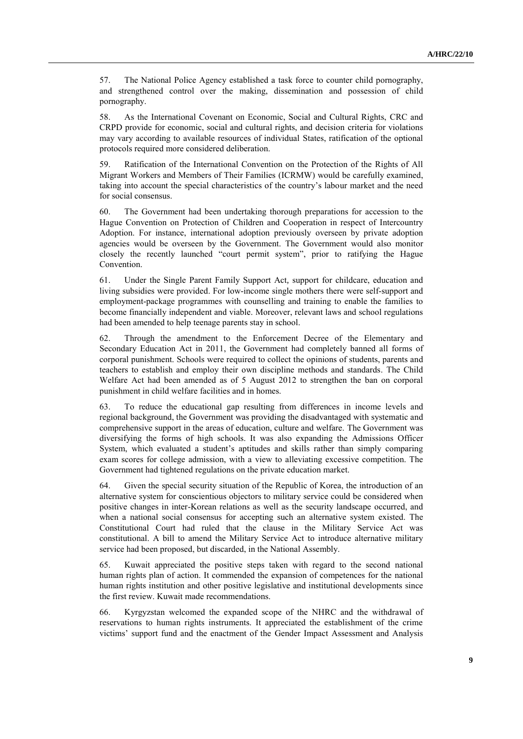57. The National Police Agency established a task force to counter child pornography, and strengthened control over the making, dissemination and possession of child pornography.

58. As the International Covenant on Economic, Social and Cultural Rights, CRC and CRPD provide for economic, social and cultural rights, and decision criteria for violations may vary according to available resources of individual States, ratification of the optional protocols required more considered deliberation.

59. Ratification of the International Convention on the Protection of the Rights of All Migrant Workers and Members of Their Families (ICRMW) would be carefully examined, taking into account the special characteristics of the country's labour market and the need for social consensus.

60. The Government had been undertaking thorough preparations for accession to the Hague Convention on Protection of Children and Cooperation in respect of Intercountry Adoption. For instance, international adoption previously overseen by private adoption agencies would be overseen by the Government. The Government would also monitor closely the recently launched "court permit system", prior to ratifying the Hague Convention.

61. Under the Single Parent Family Support Act*,* support for childcare, education and living subsidies were provided. For low-income single mothers there were self-support and employment-package programmes with counselling and training to enable the families to become financially independent and viable. Moreover, relevant laws and school regulations had been amended to help teenage parents stay in school.

62. Through the amendment to the Enforcement Decree of the Elementary and Secondary Education Act in 2011, the Government had completely banned all forms of corporal punishment. Schools were required to collect the opinions of students, parents and teachers to establish and employ their own discipline methods and standards. The Child Welfare Act had been amended as of 5 August 2012 to strengthen the ban on corporal punishment in child welfare facilities and in homes.

63. To reduce the educational gap resulting from differences in income levels and regional background, the Government was providing the disadvantaged with systematic and comprehensive support in the areas of education, culture and welfare. The Government was diversifying the forms of high schools. It was also expanding the Admissions Officer System, which evaluated a student's aptitudes and skills rather than simply comparing exam scores for college admission, with a view to alleviating excessive competition. The Government had tightened regulations on the private education market.

64. Given the special security situation of the Republic of Korea, the introduction of an alternative system for conscientious objectors to military service could be considered when positive changes in inter-Korean relations as well as the security landscape occurred, and when a national social consensus for accepting such an alternative system existed. The Constitutional Court had ruled that the clause in the Military Service Act was constitutional. A bill to amend the Military Service Act to introduce alternative military service had been proposed, but discarded, in the National Assembly.

65. Kuwait appreciated the positive steps taken with regard to the second national human rights plan of action. It commended the expansion of competences for the national human rights institution and other positive legislative and institutional developments since the first review. Kuwait made recommendations.

66. Kyrgyzstan welcomed the expanded scope of the NHRC and the withdrawal of reservations to human rights instruments. It appreciated the establishment of the crime victims' support fund and the enactment of the Gender Impact Assessment and Analysis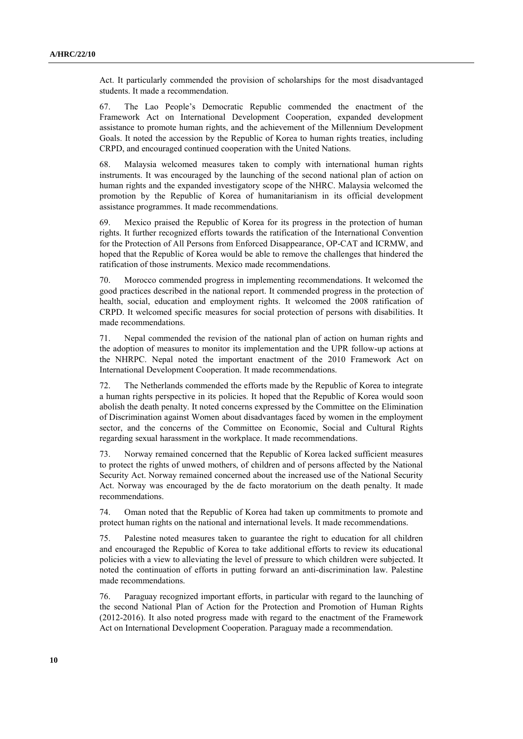Act. It particularly commended the provision of scholarships for the most disadvantaged students. It made a recommendation.

67. The Lao People's Democratic Republic commended the enactment of the Framework Act on International Development Cooperation, expanded development assistance to promote human rights, and the achievement of the Millennium Development Goals. It noted the accession by the Republic of Korea to human rights treaties, including CRPD, and encouraged continued cooperation with the United Nations.

68. Malaysia welcomed measures taken to comply with international human rights instruments. It was encouraged by the launching of the second national plan of action on human rights and the expanded investigatory scope of the NHRC. Malaysia welcomed the promotion by the Republic of Korea of humanitarianism in its official development assistance programmes. It made recommendations.

69. Mexico praised the Republic of Korea for its progress in the protection of human rights. It further recognized efforts towards the ratification of the International Convention for the Protection of All Persons from Enforced Disappearance, OP-CAT and ICRMW, and hoped that the Republic of Korea would be able to remove the challenges that hindered the ratification of those instruments. Mexico made recommendations.

70. Morocco commended progress in implementing recommendations. It welcomed the good practices described in the national report. It commended progress in the protection of health, social, education and employment rights. It welcomed the 2008 ratification of CRPD. It welcomed specific measures for social protection of persons with disabilities. It made recommendations.

71. Nepal commended the revision of the national plan of action on human rights and the adoption of measures to monitor its implementation and the UPR follow-up actions at the NHRPC. Nepal noted the important enactment of the 2010 Framework Act on International Development Cooperation. It made recommendations.

72. The Netherlands commended the efforts made by the Republic of Korea to integrate a human rights perspective in its policies. It hoped that the Republic of Korea would soon abolish the death penalty. It noted concerns expressed by the Committee on the Elimination of Discrimination against Women about disadvantages faced by women in the employment sector, and the concerns of the Committee on Economic, Social and Cultural Rights regarding sexual harassment in the workplace. It made recommendations.

73. Norway remained concerned that the Republic of Korea lacked sufficient measures to protect the rights of unwed mothers, of children and of persons affected by the National Security Act. Norway remained concerned about the increased use of the National Security Act. Norway was encouraged by the de facto moratorium on the death penalty. It made recommendations.

74. Oman noted that the Republic of Korea had taken up commitments to promote and protect human rights on the national and international levels. It made recommendations.

75. Palestine noted measures taken to guarantee the right to education for all children and encouraged the Republic of Korea to take additional efforts to review its educational policies with a view to alleviating the level of pressure to which children were subjected. It noted the continuation of efforts in putting forward an anti-discrimination law. Palestine made recommendations.

76. Paraguay recognized important efforts, in particular with regard to the launching of the second National Plan of Action for the Protection and Promotion of Human Rights (2012-2016). It also noted progress made with regard to the enactment of the Framework Act on International Development Cooperation. Paraguay made a recommendation.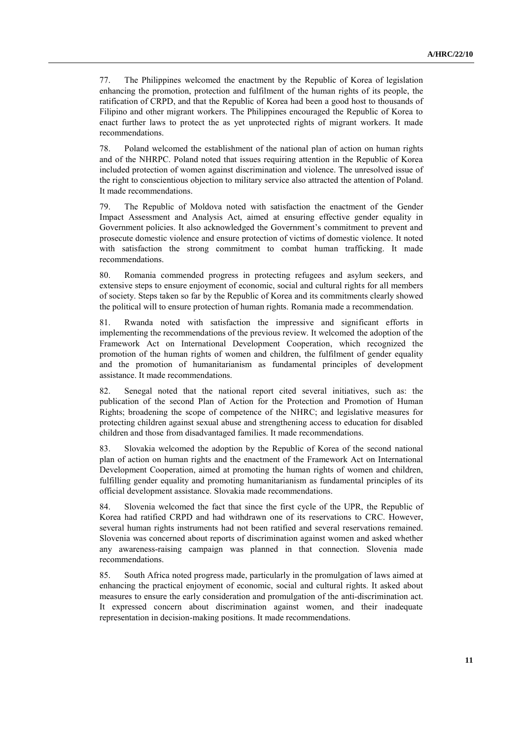77. The Philippines welcomed the enactment by the Republic of Korea of legislation enhancing the promotion, protection and fulfilment of the human rights of its people, the ratification of CRPD, and that the Republic of Korea had been a good host to thousands of Filipino and other migrant workers. The Philippines encouraged the Republic of Korea to enact further laws to protect the as yet unprotected rights of migrant workers. It made recommendations.

78. Poland welcomed the establishment of the national plan of action on human rights and of the NHRPC. Poland noted that issues requiring attention in the Republic of Korea included protection of women against discrimination and violence. The unresolved issue of the right to conscientious objection to military service also attracted the attention of Poland. It made recommendations.

79. The Republic of Moldova noted with satisfaction the enactment of the Gender Impact Assessment and Analysis Act, aimed at ensuring effective gender equality in Government policies. It also acknowledged the Government's commitment to prevent and prosecute domestic violence and ensure protection of victims of domestic violence. It noted with satisfaction the strong commitment to combat human trafficking. It made recommendations.

80. Romania commended progress in protecting refugees and asylum seekers, and extensive steps to ensure enjoyment of economic, social and cultural rights for all members of society. Steps taken so far by the Republic of Korea and its commitments clearly showed the political will to ensure protection of human rights. Romania made a recommendation.

81. Rwanda noted with satisfaction the impressive and significant efforts in implementing the recommendations of the previous review. It welcomed the adoption of the Framework Act on International Development Cooperation, which recognized the promotion of the human rights of women and children, the fulfilment of gender equality and the promotion of humanitarianism as fundamental principles of development assistance. It made recommendations.

82. Senegal noted that the national report cited several initiatives, such as: the publication of the second Plan of Action for the Protection and Promotion of Human Rights; broadening the scope of competence of the NHRC; and legislative measures for protecting children against sexual abuse and strengthening access to education for disabled children and those from disadvantaged families. It made recommendations.

83. Slovakia welcomed the adoption by the Republic of Korea of the second national plan of action on human rights and the enactment of the Framework Act on International Development Cooperation, aimed at promoting the human rights of women and children, fulfilling gender equality and promoting humanitarianism as fundamental principles of its official development assistance. Slovakia made recommendations.

84. Slovenia welcomed the fact that since the first cycle of the UPR, the Republic of Korea had ratified CRPD and had withdrawn one of its reservations to CRC. However, several human rights instruments had not been ratified and several reservations remained. Slovenia was concerned about reports of discrimination against women and asked whether any awareness-raising campaign was planned in that connection. Slovenia made recommendations.

85. South Africa noted progress made, particularly in the promulgation of laws aimed at enhancing the practical enjoyment of economic, social and cultural rights. It asked about measures to ensure the early consideration and promulgation of the anti-discrimination act. It expressed concern about discrimination against women, and their inadequate representation in decision-making positions. It made recommendations.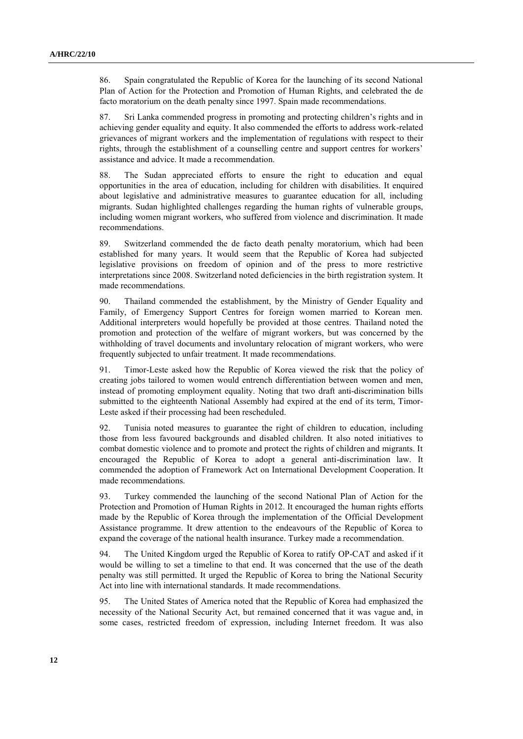86. Spain congratulated the Republic of Korea for the launching of its second National Plan of Action for the Protection and Promotion of Human Rights, and celebrated the de facto moratorium on the death penalty since 1997. Spain made recommendations.

87. Sri Lanka commended progress in promoting and protecting children's rights and in achieving gender equality and equity. It also commended the efforts to address work-related grievances of migrant workers and the implementation of regulations with respect to their rights, through the establishment of a counselling centre and support centres for workers' assistance and advice. It made a recommendation.

88. The Sudan appreciated efforts to ensure the right to education and equal opportunities in the area of education, including for children with disabilities. It enquired about legislative and administrative measures to guarantee education for all, including migrants. Sudan highlighted challenges regarding the human rights of vulnerable groups, including women migrant workers, who suffered from violence and discrimination. It made recommendations.

89. Switzerland commended the de facto death penalty moratorium, which had been established for many years. It would seem that the Republic of Korea had subjected legislative provisions on freedom of opinion and of the press to more restrictive interpretations since 2008. Switzerland noted deficiencies in the birth registration system. It made recommendations.

90. Thailand commended the establishment, by the Ministry of Gender Equality and Family, of Emergency Support Centres for foreign women married to Korean men. Additional interpreters would hopefully be provided at those centres. Thailand noted the promotion and protection of the welfare of migrant workers, but was concerned by the withholding of travel documents and involuntary relocation of migrant workers, who were frequently subjected to unfair treatment. It made recommendations.

91. Timor-Leste asked how the Republic of Korea viewed the risk that the policy of creating jobs tailored to women would entrench differentiation between women and men, instead of promoting employment equality. Noting that two draft anti-discrimination bills submitted to the eighteenth National Assembly had expired at the end of its term, Timor-Leste asked if their processing had been rescheduled.

92. Tunisia noted measures to guarantee the right of children to education, including those from less favoured backgrounds and disabled children. It also noted initiatives to combat domestic violence and to promote and protect the rights of children and migrants. It encouraged the Republic of Korea to adopt a general anti-discrimination law. It commended the adoption of Framework Act on International Development Cooperation. It made recommendations.

93. Turkey commended the launching of the second National Plan of Action for the Protection and Promotion of Human Rights in 2012. It encouraged the human rights efforts made by the Republic of Korea through the implementation of the Official Development Assistance programme. It drew attention to the endeavours of the Republic of Korea to expand the coverage of the national health insurance. Turkey made a recommendation.

94. The United Kingdom urged the Republic of Korea to ratify OP-CAT and asked if it would be willing to set a timeline to that end. It was concerned that the use of the death penalty was still permitted. It urged the Republic of Korea to bring the National Security Act into line with international standards. It made recommendations.

95. The United States of America noted that the Republic of Korea had emphasized the necessity of the National Security Act, but remained concerned that it was vague and, in some cases, restricted freedom of expression, including Internet freedom. It was also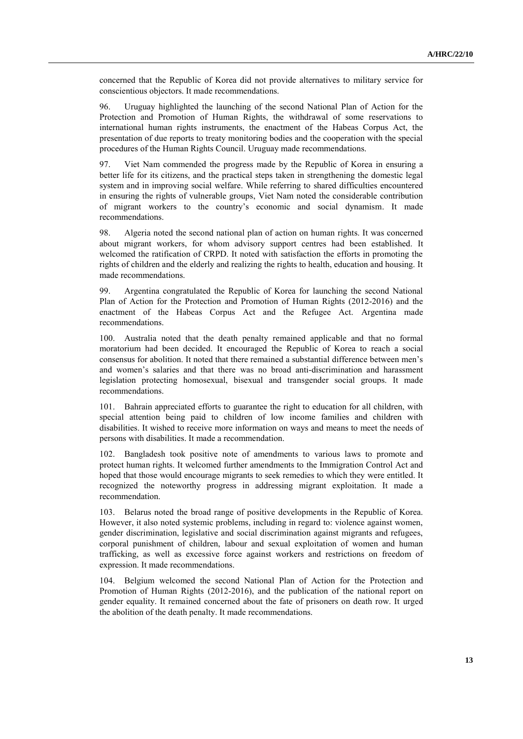concerned that the Republic of Korea did not provide alternatives to military service for conscientious objectors. It made recommendations.

96. Uruguay highlighted the launching of the second National Plan of Action for the Protection and Promotion of Human Rights, the withdrawal of some reservations to international human rights instruments, the enactment of the Habeas Corpus Act, the presentation of due reports to treaty monitoring bodies and the cooperation with the special procedures of the Human Rights Council. Uruguay made recommendations.

97. Viet Nam commended the progress made by the Republic of Korea in ensuring a better life for its citizens, and the practical steps taken in strengthening the domestic legal system and in improving social welfare. While referring to shared difficulties encountered in ensuring the rights of vulnerable groups, Viet Nam noted the considerable contribution of migrant workers to the country's economic and social dynamism. It made recommendations.

98. Algeria noted the second national plan of action on human rights. It was concerned about migrant workers, for whom advisory support centres had been established. It welcomed the ratification of CRPD. It noted with satisfaction the efforts in promoting the rights of children and the elderly and realizing the rights to health, education and housing. It made recommendations.

99. Argentina congratulated the Republic of Korea for launching the second National Plan of Action for the Protection and Promotion of Human Rights (2012-2016) and the enactment of the Habeas Corpus Act and the Refugee Act. Argentina made recommendations.

100. Australia noted that the death penalty remained applicable and that no formal moratorium had been decided. It encouraged the Republic of Korea to reach a social consensus for abolition. It noted that there remained a substantial difference between men's and women's salaries and that there was no broad anti-discrimination and harassment legislation protecting homosexual, bisexual and transgender social groups. It made recommendations.

101. Bahrain appreciated efforts to guarantee the right to education for all children, with special attention being paid to children of low income families and children with disabilities. It wished to receive more information on ways and means to meet the needs of persons with disabilities. It made a recommendation.

102. Bangladesh took positive note of amendments to various laws to promote and protect human rights. It welcomed further amendments to the Immigration Control Act and hoped that those would encourage migrants to seek remedies to which they were entitled. It recognized the noteworthy progress in addressing migrant exploitation. It made a recommendation.

103. Belarus noted the broad range of positive developments in the Republic of Korea. However, it also noted systemic problems, including in regard to: violence against women, gender discrimination, legislative and social discrimination against migrants and refugees, corporal punishment of children, labour and sexual exploitation of women and human trafficking, as well as excessive force against workers and restrictions on freedom of expression. It made recommendations.

104. Belgium welcomed the second National Plan of Action for the Protection and Promotion of Human Rights (2012-2016), and the publication of the national report on gender equality. It remained concerned about the fate of prisoners on death row. It urged the abolition of the death penalty. It made recommendations.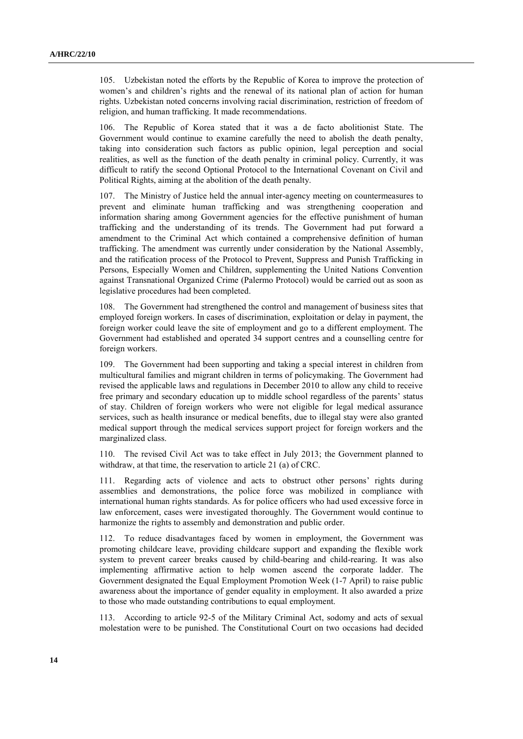105. Uzbekistan noted the efforts by the Republic of Korea to improve the protection of women's and children's rights and the renewal of its national plan of action for human rights. Uzbekistan noted concerns involving racial discrimination, restriction of freedom of religion, and human trafficking. It made recommendations.

106. The Republic of Korea stated that it was a de facto abolitionist State. The Government would continue to examine carefully the need to abolish the death penalty, taking into consideration such factors as public opinion, legal perception and social realities, as well as the function of the death penalty in criminal policy. Currently, it was difficult to ratify the second Optional Protocol to the International Covenant on Civil and Political Rights, aiming at the abolition of the death penalty.

107. The Ministry of Justice held the annual inter-agency meeting on countermeasures to prevent and eliminate human trafficking and was strengthening cooperation and information sharing among Government agencies for the effective punishment of human trafficking and the understanding of its trends. The Government had put forward a amendment to the Criminal Act which contained a comprehensive definition of human trafficking. The amendment was currently under consideration by the National Assembly, and the ratification process of the Protocol to Prevent, Suppress and Punish Trafficking in Persons, Especially Women and Children, supplementing the United Nations Convention against Transnational Organized Crime (Palermo Protocol) would be carried out as soon as legislative procedures had been completed.

108. The Government had strengthened the control and management of business sites that employed foreign workers. In cases of discrimination, exploitation or delay in payment, the foreign worker could leave the site of employment and go to a different employment. The Government had established and operated 34 support centres and a counselling centre for foreign workers.

109. The Government had been supporting and taking a special interest in children from multicultural families and migrant children in terms of policymaking. The Government had revised the applicable laws and regulations in December 2010 to allow any child to receive free primary and secondary education up to middle school regardless of the parents' status of stay. Children of foreign workers who were not eligible for legal medical assurance services, such as health insurance or medical benefits, due to illegal stay were also granted medical support through the medical services support project for foreign workers and the marginalized class.

110. The revised Civil Act was to take effect in July 2013; the Government planned to withdraw, at that time, the reservation to article 21 (a) of CRC.

111. Regarding acts of violence and acts to obstruct other persons' rights during assemblies and demonstrations, the police force was mobilized in compliance with international human rights standards. As for police officers who had used excessive force in law enforcement, cases were investigated thoroughly. The Government would continue to harmonize the rights to assembly and demonstration and public order.

112. To reduce disadvantages faced by women in employment, the Government was promoting childcare leave, providing childcare support and expanding the flexible work system to prevent career breaks caused by child-bearing and child-rearing. It was also implementing affirmative action to help women ascend the corporate ladder. The Government designated the Equal Employment Promotion Week (1-7 April) to raise public awareness about the importance of gender equality in employment. It also awarded a prize to those who made outstanding contributions to equal employment.

113. According to article 92-5 of the Military Criminal Act, sodomy and acts of sexual molestation were to be punished. The Constitutional Court on two occasions had decided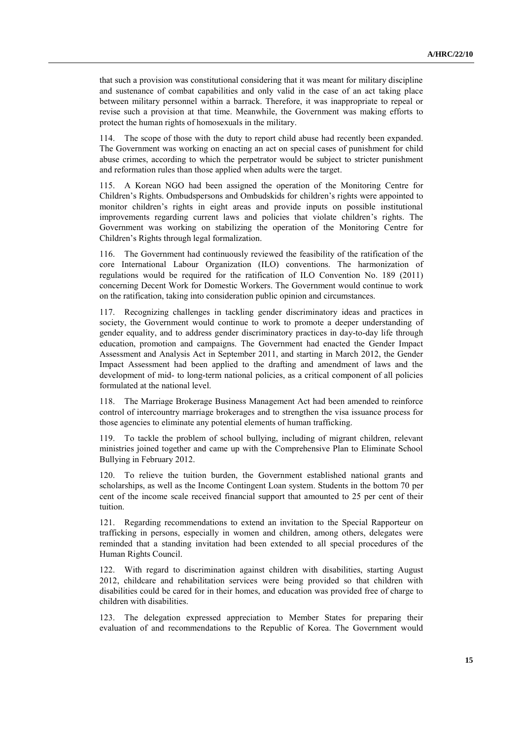that such a provision was constitutional considering that it was meant for military discipline and sustenance of combat capabilities and only valid in the case of an act taking place between military personnel within a barrack. Therefore, it was inappropriate to repeal or revise such a provision at that time. Meanwhile, the Government was making efforts to protect the human rights of homosexuals in the military.

114. The scope of those with the duty to report child abuse had recently been expanded. The Government was working on enacting an act on special cases of punishment for child abuse crimes, according to which the perpetrator would be subject to stricter punishment and reformation rules than those applied when adults were the target.

115. A Korean NGO had been assigned the operation of the Monitoring Centre for Children's Rights. Ombudspersons and Ombudskids for children's rights were appointed to monitor children's rights in eight areas and provide inputs on possible institutional improvements regarding current laws and policies that violate children's rights. The Government was working on stabilizing the operation of the Monitoring Centre for Children's Rights through legal formalization.

116. The Government had continuously reviewed the feasibility of the ratification of the core International Labour Organization (ILO) conventions. The harmonization of regulations would be required for the ratification of ILO Convention No. 189 (2011) concerning Decent Work for Domestic Workers. The Government would continue to work on the ratification, taking into consideration public opinion and circumstances.

117. Recognizing challenges in tackling gender discriminatory ideas and practices in society, the Government would continue to work to promote a deeper understanding of gender equality, and to address gender discriminatory practices in day-to-day life through education, promotion and campaigns. The Government had enacted the Gender Impact Assessment and Analysis Act in September 2011, and starting in March 2012, the Gender Impact Assessment had been applied to the drafting and amendment of laws and the development of mid- to long-term national policies, as a critical component of all policies formulated at the national level.

118. The Marriage Brokerage Business Management Act had been amended to reinforce control of intercountry marriage brokerages and to strengthen the visa issuance process for those agencies to eliminate any potential elements of human trafficking.

119. To tackle the problem of school bullying, including of migrant children, relevant ministries joined together and came up with the Comprehensive Plan to Eliminate School Bullying in February 2012.

120. To relieve the tuition burden, the Government established national grants and scholarships, as well as the Income Contingent Loan system. Students in the bottom 70 per cent of the income scale received financial support that amounted to 25 per cent of their tuition.

121. Regarding recommendations to extend an invitation to the Special Rapporteur on trafficking in persons, especially in women and children, among others, delegates were reminded that a standing invitation had been extended to all special procedures of the Human Rights Council.

122. With regard to discrimination against children with disabilities, starting August 2012, childcare and rehabilitation services were being provided so that children with disabilities could be cared for in their homes, and education was provided free of charge to children with disabilities.

123. The delegation expressed appreciation to Member States for preparing their evaluation of and recommendations to the Republic of Korea. The Government would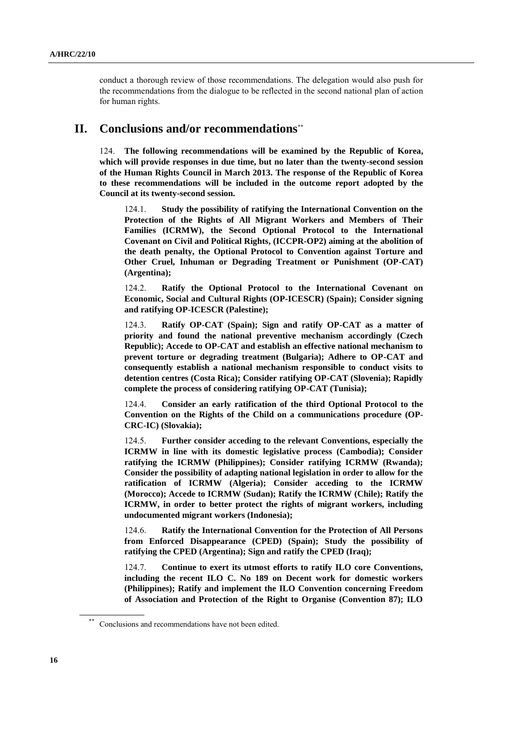conduct a thorough review of those recommendations. The delegation would also push for the recommendations from the dialogue to be reflected in the second national plan of action for human rights.

### **II. Conclusions and/or recommendations**\*\*

124. **The following recommendations will be examined by the Republic of Korea, which will provide responses in due time, but no later than the twenty-second session of the Human Rights Council in March 2013. The response of the Republic of Korea to these recommendations will be included in the outcome report adopted by the Council at its twenty-second session.**

124.1. **Study the possibility of ratifying the International Convention on the Protection of the Rights of All Migrant Workers and Members of Their Families (ICRMW), the Second Optional Protocol to the International Covenant on Civil and Political Rights, (ICCPR-OP2) aiming at the abolition of the death penalty, the Optional Protocol to Convention against Torture and Other Cruel, Inhuman or Degrading Treatment or Punishment (OP-CAT) (Argentina);**

124.2. **Ratify the Optional Protocol to the International Covenant on Economic, Social and Cultural Rights (OP-ICESCR) (Spain); Consider signing and ratifying OP-ICESCR (Palestine);**

124.3. **Ratify OP-CAT (Spain); Sign and ratify OP-CAT as a matter of priority and found the national preventive mechanism accordingly (Czech Republic); Accede to OP-CAT and establish an effective national mechanism to prevent torture or degrading treatment (Bulgaria); Adhere to OP-CAT and consequently establish a national mechanism responsible to conduct visits to detention centres (Costa Rica); Consider ratifying OP-CAT (Slovenia); Rapidly complete the process of considering ratifying OP-CAT (Tunisia);**

124.4. **Consider an early ratification of the third Optional Protocol to the Convention on the Rights of the Child on a communications procedure (OP-CRC-IC) (Slovakia);**

124.5. **Further consider acceding to the relevant Conventions, especially the ICRMW in line with its domestic legislative process (Cambodia); Consider ratifying the ICRMW (Philippines); Consider ratifying ICRMW (Rwanda); Consider the possibility of adapting national legislation in order to allow for the ratification of ICRMW (Algeria); Consider acceding to the ICRMW (Morocco); Accede to ICRMW (Sudan); Ratify the ICRMW (Chile); Ratify the ICRMW, in order to better protect the rights of migrant workers, including undocumented migrant workers (Indonesia);**

124.6. **Ratify the International Convention for the Protection of All Persons from Enforced Disappearance (CPED) (Spain); Study the possibility of ratifying the CPED (Argentina); Sign and ratify the CPED (Iraq);**

124.7. **Continue to exert its utmost efforts to ratify ILO core Conventions, including the recent ILO C. No 189 on Decent work for domestic workers (Philippines); Ratify and implement the ILO Convention concerning Freedom of Association and Protection of the Right to Organise (Convention 87); ILO** 

Conclusions and recommendations have not been edited.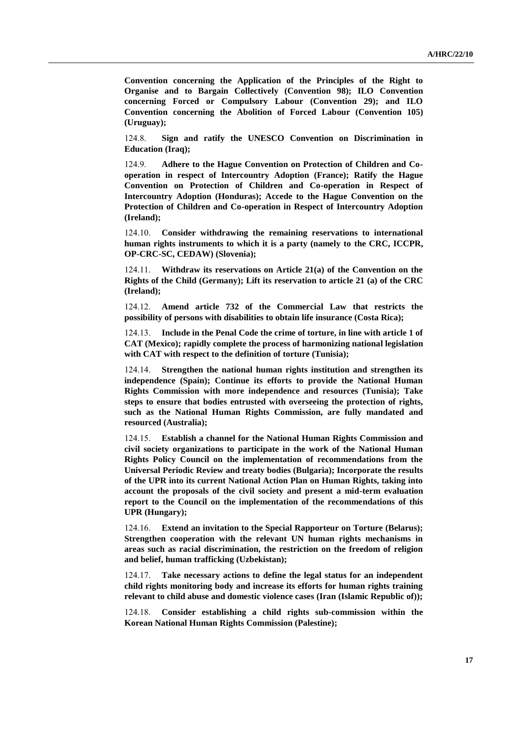**Convention concerning the Application of the Principles of the Right to Organise and to Bargain Collectively (Convention 98); ILO Convention concerning Forced or Compulsory Labour (Convention 29); and ILO Convention concerning the Abolition of Forced Labour (Convention 105) (Uruguay);**

124.8. **Sign and ratify the UNESCO Convention on Discrimination in Education (Iraq);**

124.9. **Adhere to the Hague Convention on Protection of Children and Cooperation in respect of Intercountry Adoption (France); Ratify the Hague Convention on Protection of Children and Co-operation in Respect of Intercountry Adoption (Honduras); Accede to the Hague Convention on the Protection of Children and Co-operation in Respect of Intercountry Adoption (Ireland);**

124.10. **Consider withdrawing the remaining reservations to international human rights instruments to which it is a party (namely to the CRC, ICCPR, OP-CRC-SC, CEDAW) (Slovenia);**

124.11. **Withdraw its reservations on Article 21(a) of the Convention on the Rights of the Child (Germany); Lift its reservation to article 21 (a) of the CRC (Ireland);**

124.12. **Amend article 732 of the Commercial Law that restricts the possibility of persons with disabilities to obtain life insurance (Costa Rica);**

124.13. **Include in the Penal Code the crime of torture, in line with article 1 of CAT (Mexico); rapidly complete the process of harmonizing national legislation with CAT with respect to the definition of torture (Tunisia);**

124.14. **Strengthen the national human rights institution and strengthen its independence (Spain); Continue its efforts to provide the National Human Rights Commission with more independence and resources (Tunisia); Take steps to ensure that bodies entrusted with overseeing the protection of rights, such as the National Human Rights Commission, are fully mandated and resourced (Australia);**

124.15. **Establish a channel for the National Human Rights Commission and civil society organizations to participate in the work of the National Human Rights Policy Council on the implementation of recommendations from the Universal Periodic Review and treaty bodies (Bulgaria); Incorporate the results of the UPR into its current National Action Plan on Human Rights, taking into account the proposals of the civil society and present a mid-term evaluation report to the Council on the implementation of the recommendations of this UPR (Hungary);**

124.16. **Extend an invitation to the Special Rapporteur on Torture (Belarus); Strengthen cooperation with the relevant UN human rights mechanisms in areas such as racial discrimination, the restriction on the freedom of religion and belief, human trafficking (Uzbekistan);**

124.17. **Take necessary actions to define the legal status for an independent child rights monitoring body and increase its efforts for human rights training relevant to child abuse and domestic violence cases (Iran (Islamic Republic of));**

124.18. **Consider establishing a child rights sub-commission within the Korean National Human Rights Commission (Palestine);**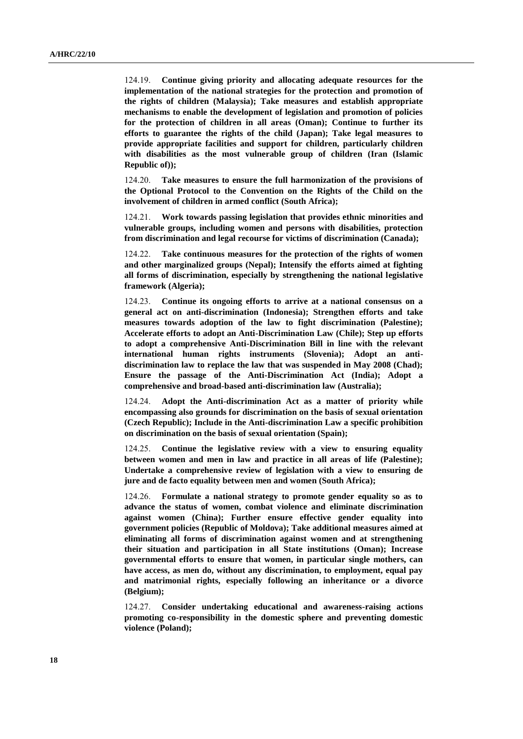124.19. **Continue giving priority and allocating adequate resources for the implementation of the national strategies for the protection and promotion of the rights of children (Malaysia); Take measures and establish appropriate mechanisms to enable the development of legislation and promotion of policies for the protection of children in all areas (Oman); Continue to further its efforts to guarantee the rights of the child (Japan); Take legal measures to provide appropriate facilities and support for children, particularly children with disabilities as the most vulnerable group of children (Iran (Islamic Republic of));**

124.20. **Take measures to ensure the full harmonization of the provisions of the Optional Protocol to the Convention on the Rights of the Child on the involvement of children in armed conflict (South Africa);**

124.21. **Work towards passing legislation that provides ethnic minorities and vulnerable groups, including women and persons with disabilities, protection from discrimination and legal recourse for victims of discrimination (Canada);**

124.22. **Take continuous measures for the protection of the rights of women and other marginalized groups (Nepal); Intensify the efforts aimed at fighting all forms of discrimination, especially by strengthening the national legislative framework (Algeria);**

124.23. **Continue its ongoing efforts to arrive at a national consensus on a general act on anti-discrimination (Indonesia); Strengthen efforts and take measures towards adoption of the law to fight discrimination (Palestine); Accelerate efforts to adopt an Anti-Discrimination Law (Chile); Step up efforts to adopt a comprehensive Anti-Discrimination Bill in line with the relevant international human rights instruments (Slovenia); Adopt an antidiscrimination law to replace the law that was suspended in May 2008 (Chad); Ensure the passage of the Anti-Discrimination Act (India); Adopt a comprehensive and broad-based anti-discrimination law (Australia);**

124.24. **Adopt the Anti-discrimination Act as a matter of priority while encompassing also grounds for discrimination on the basis of sexual orientation (Czech Republic); Include in the Anti-discrimination Law a specific prohibition on discrimination on the basis of sexual orientation (Spain);**

124.25. **Continue the legislative review with a view to ensuring equality between women and men in law and practice in all areas of life (Palestine); Undertake a comprehensive review of legislation with a view to ensuring de jure and de facto equality between men and women (South Africa);**

124.26. **Formulate a national strategy to promote gender equality so as to advance the status of women, combat violence and eliminate discrimination against women (China); Further ensure effective gender equality into government policies (Republic of Moldova); Take additional measures aimed at eliminating all forms of discrimination against women and at strengthening their situation and participation in all State institutions (Oman); Increase governmental efforts to ensure that women, in particular single mothers, can have access, as men do, without any discrimination, to employment, equal pay and matrimonial rights, especially following an inheritance or a divorce (Belgium);**

124.27. **Consider undertaking educational and awareness-raising actions promoting co-responsibility in the domestic sphere and preventing domestic violence (Poland);**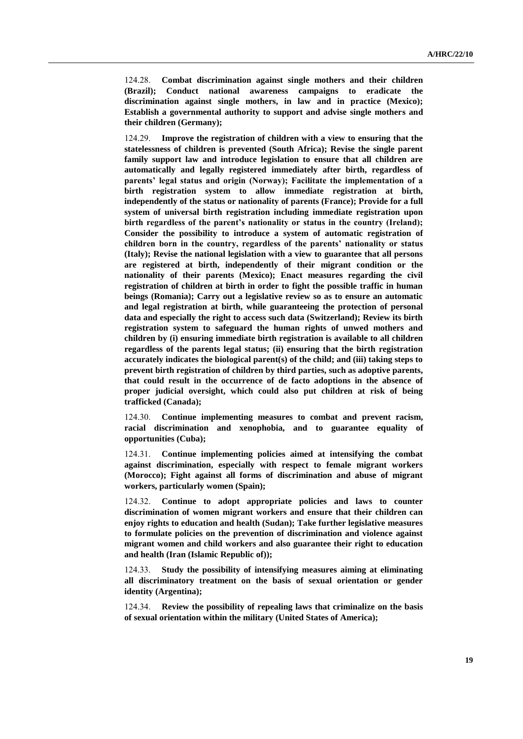124.28. **Combat discrimination against single mothers and their children (Brazil); Conduct national awareness campaigns to eradicate the discrimination against single mothers, in law and in practice (Mexico); Establish a governmental authority to support and advise single mothers and their children (Germany);**

124.29. **Improve the registration of children with a view to ensuring that the statelessness of children is prevented (South Africa); Revise the single parent family support law and introduce legislation to ensure that all children are automatically and legally registered immediately after birth, regardless of parents' legal status and origin (Norway); Facilitate the implementation of a birth registration system to allow immediate registration at birth, independently of the status or nationality of parents (France); Provide for a full system of universal birth registration including immediate registration upon birth regardless of the parent's nationality or status in the country (Ireland); Consider the possibility to introduce a system of automatic registration of children born in the country, regardless of the parents' nationality or status (Italy); Revise the national legislation with a view to guarantee that all persons are registered at birth, independently of their migrant condition or the nationality of their parents (Mexico); Enact measures regarding the civil registration of children at birth in order to fight the possible traffic in human beings (Romania); Carry out a legislative review so as to ensure an automatic and legal registration at birth, while guaranteeing the protection of personal data and especially the right to access such data (Switzerland); Review its birth registration system to safeguard the human rights of unwed mothers and children by (i) ensuring immediate birth registration is available to all children regardless of the parents legal status; (ii) ensuring that the birth registration accurately indicates the biological parent(s) of the child; and (iii) taking steps to prevent birth registration of children by third parties, such as adoptive parents, that could result in the occurrence of de facto adoptions in the absence of proper judicial oversight, which could also put children at risk of being trafficked (Canada);**

124.30. **Continue implementing measures to combat and prevent racism, racial discrimination and xenophobia, and to guarantee equality of opportunities (Cuba);**

124.31. **Continue implementing policies aimed at intensifying the combat against discrimination, especially with respect to female migrant workers (Morocco); Fight against all forms of discrimination and abuse of migrant workers, particularly women (Spain);**

124.32. **Continue to adopt appropriate policies and laws to counter discrimination of women migrant workers and ensure that their children can enjoy rights to education and health (Sudan); Take further legislative measures to formulate policies on the prevention of discrimination and violence against migrant women and child workers and also guarantee their right to education and health (Iran (Islamic Republic of));**

124.33. **Study the possibility of intensifying measures aiming at eliminating all discriminatory treatment on the basis of sexual orientation or gender identity (Argentina);**

124.34. **Review the possibility of repealing laws that criminalize on the basis of sexual orientation within the military (United States of America);**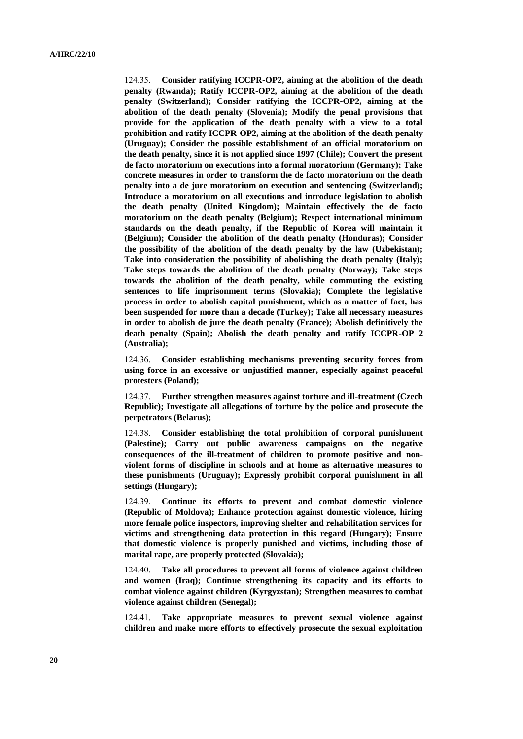124.35. **Consider ratifying ICCPR-OP2, aiming at the abolition of the death penalty (Rwanda); Ratify ICCPR-OP2, aiming at the abolition of the death penalty (Switzerland); Consider ratifying the ICCPR-OP2, aiming at the abolition of the death penalty (Slovenia); Modify the penal provisions that provide for the application of the death penalty with a view to a total prohibition and ratify ICCPR-OP2, aiming at the abolition of the death penalty (Uruguay); Consider the possible establishment of an official moratorium on the death penalty, since it is not applied since 1997 (Chile); Convert the present de facto moratorium on executions into a formal moratorium (Germany); Take concrete measures in order to transform the de facto moratorium on the death penalty into a de jure moratorium on execution and sentencing (Switzerland); Introduce a moratorium on all executions and introduce legislation to abolish the death penalty (United Kingdom); Maintain effectively the de facto moratorium on the death penalty (Belgium); Respect international minimum standards on the death penalty, if the Republic of Korea will maintain it (Belgium); Consider the abolition of the death penalty (Honduras); Consider the possibility of the abolition of the death penalty by the law (Uzbekistan); Take into consideration the possibility of abolishing the death penalty (Italy); Take steps towards the abolition of the death penalty (Norway); Take steps towards the abolition of the death penalty, while commuting the existing sentences to life imprisonment terms (Slovakia); Complete the legislative process in order to abolish capital punishment, which as a matter of fact, has been suspended for more than a decade (Turkey); Take all necessary measures in order to abolish de jure the death penalty (France); Abolish definitively the death penalty (Spain); Abolish the death penalty and ratify ICCPR-OP 2 (Australia);**

124.36. **Consider establishing mechanisms preventing security forces from using force in an excessive or unjustified manner, especially against peaceful protesters (Poland);**

124.37. **Further strengthen measures against torture and ill-treatment (Czech Republic); Investigate all allegations of torture by the police and prosecute the perpetrators (Belarus);**

124.38. **Consider establishing the total prohibition of corporal punishment (Palestine); Carry out public awareness campaigns on the negative consequences of the ill-treatment of children to promote positive and nonviolent forms of discipline in schools and at home as alternative measures to these punishments (Uruguay); Expressly prohibit corporal punishment in all settings (Hungary);**

124.39. **Continue its efforts to prevent and combat domestic violence (Republic of Moldova); Enhance protection against domestic violence, hiring more female police inspectors, improving shelter and rehabilitation services for victims and strengthening data protection in this regard (Hungary); Ensure that domestic violence is properly punished and victims, including those of marital rape, are properly protected (Slovakia);**

124.40. **Take all procedures to prevent all forms of violence against children and women (Iraq); Continue strengthening its capacity and its efforts to combat violence against children (Kyrgyzstan); Strengthen measures to combat violence against children (Senegal);**

124.41. **Take appropriate measures to prevent sexual violence against children and make more efforts to effectively prosecute the sexual exploitation**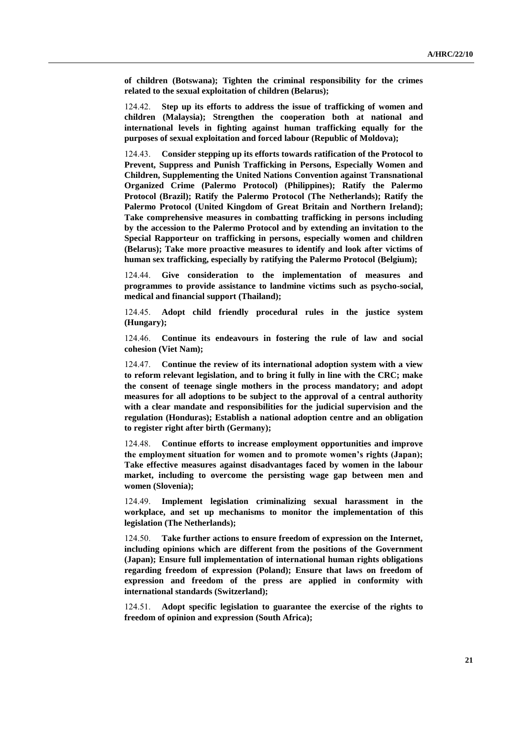**of children (Botswana); Tighten the criminal responsibility for the crimes related to the sexual exploitation of children (Belarus);**

124.42. **Step up its efforts to address the issue of trafficking of women and children (Malaysia); Strengthen the cooperation both at national and international levels in fighting against human trafficking equally for the purposes of sexual exploitation and forced labour (Republic of Moldova);**

124.43. **Consider stepping up its efforts towards ratification of the Protocol to Prevent, Suppress and Punish Trafficking in Persons, Especially Women and Children, Supplementing the United Nations Convention against Transnational Organized Crime (Palermo Protocol) (Philippines); Ratify the Palermo Protocol (Brazil); Ratify the Palermo Protocol (The Netherlands); Ratify the Palermo Protocol (United Kingdom of Great Britain and Northern Ireland); Take comprehensive measures in combatting trafficking in persons including by the accession to the Palermo Protocol and by extending an invitation to the Special Rapporteur on trafficking in persons, especially women and children (Belarus); Take more proactive measures to identify and look after victims of human sex trafficking, especially by ratifying the Palermo Protocol (Belgium);**

124.44. **Give consideration to the implementation of measures and programmes to provide assistance to landmine victims such as psycho-social, medical and financial support (Thailand);**

124.45. **Adopt child friendly procedural rules in the justice system (Hungary);**

124.46. **Continue its endeavours in fostering the rule of law and social cohesion (Viet Nam);**

124.47. **Continue the review of its international adoption system with a view to reform relevant legislation, and to bring it fully in line with the CRC; make the consent of teenage single mothers in the process mandatory; and adopt measures for all adoptions to be subject to the approval of a central authority with a clear mandate and responsibilities for the judicial supervision and the regulation (Honduras); Establish a national adoption centre and an obligation to register right after birth (Germany);**

124.48. **Continue efforts to increase employment opportunities and improve the employment situation for women and to promote women's rights (Japan); Take effective measures against disadvantages faced by women in the labour market, including to overcome the persisting wage gap between men and women (Slovenia);**

124.49. **Implement legislation criminalizing sexual harassment in the workplace, and set up mechanisms to monitor the implementation of this legislation (The Netherlands);**

124.50. **Take further actions to ensure freedom of expression on the Internet, including opinions which are different from the positions of the Government (Japan); Ensure full implementation of international human rights obligations regarding freedom of expression (Poland); Ensure that laws on freedom of expression and freedom of the press are applied in conformity with international standards (Switzerland);**

124.51. **Adopt specific legislation to guarantee the exercise of the rights to freedom of opinion and expression (South Africa);**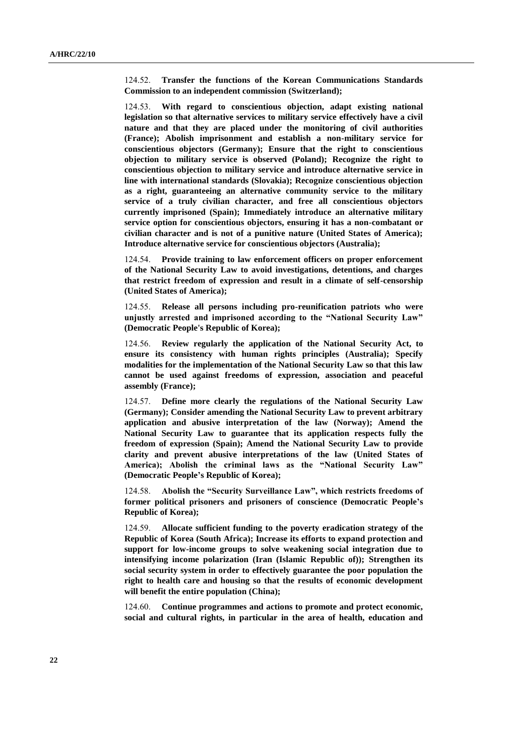124.52. **Transfer the functions of the Korean Communications Standards Commission to an independent commission (Switzerland);**

124.53. **With regard to conscientious objection, adapt existing national legislation so that alternative services to military service effectively have a civil nature and that they are placed under the monitoring of civil authorities (France); Abolish imprisonment and establish a non-military service for conscientious objectors (Germany); Ensure that the right to conscientious objection to military service is observed (Poland); Recognize the right to conscientious objection to military service and introduce alternative service in line with international standards (Slovakia); Recognize conscientious objection as a right, guaranteeing an alternative community service to the military service of a truly civilian character, and free all conscientious objectors currently imprisoned (Spain); Immediately introduce an alternative military service option for conscientious objectors, ensuring it has a non-combatant or civilian character and is not of a punitive nature (United States of America); Introduce alternative service for conscientious objectors (Australia);**

124.54. **Provide training to law enforcement officers on proper enforcement of the National Security Law to avoid investigations, detentions, and charges that restrict freedom of expression and result in a climate of self-censorship (United States of America);**

124.55. **Release all persons including pro-reunification patriots who were unjustly arrested and imprisoned according to the "National Security Law" (Democratic People's Republic of Korea);**

124.56. **Review regularly the application of the National Security Act, to ensure its consistency with human rights principles (Australia); Specify modalities for the implementation of the National Security Law so that this law cannot be used against freedoms of expression, association and peaceful assembly (France);**

124.57. **Define more clearly the regulations of the National Security Law (Germany); Consider amending the National Security Law to prevent arbitrary application and abusive interpretation of the law (Norway); Amend the National Security Law to guarantee that its application respects fully the freedom of expression (Spain); Amend the National Security Law to provide clarity and prevent abusive interpretations of the law (United States of America); Abolish the criminal laws as the "National Security Law" (Democratic People's Republic of Korea);**

124.58. **Abolish the "Security Surveillance Law", which restricts freedoms of former political prisoners and prisoners of conscience (Democratic People's Republic of Korea);**

124.59. **Allocate sufficient funding to the poverty eradication strategy of the Republic of Korea (South Africa); Increase its efforts to expand protection and support for low-income groups to solve weakening social integration due to intensifying income polarization (Iran (Islamic Republic of)); Strengthen its social security system in order to effectively guarantee the poor population the right to health care and housing so that the results of economic development will benefit the entire population (China);**

124.60. **Continue programmes and actions to promote and protect economic, social and cultural rights, in particular in the area of health, education and**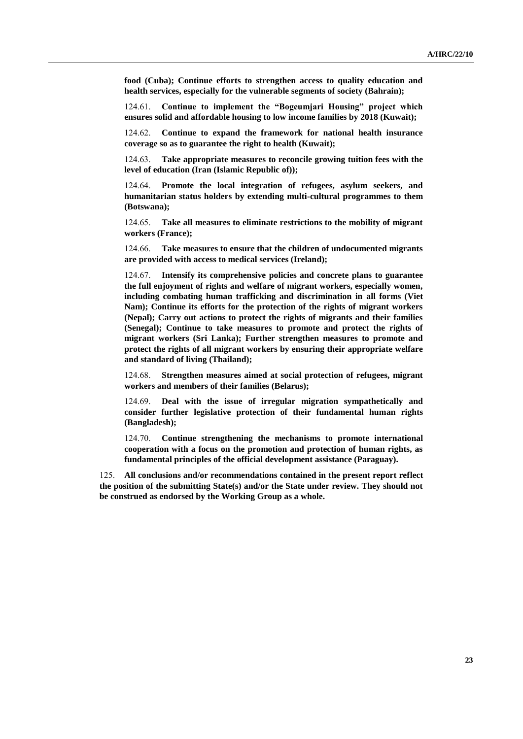**food (Cuba); Continue efforts to strengthen access to quality education and health services, especially for the vulnerable segments of society (Bahrain);**

124.61. **Continue to implement the "Bogeumjari Housing" project which ensures solid and affordable housing to low income families by 2018 (Kuwait);**

124.62. **Continue to expand the framework for national health insurance coverage so as to guarantee the right to health (Kuwait);**

124.63. **Take appropriate measures to reconcile growing tuition fees with the level of education (Iran (Islamic Republic of));**

124.64. **Promote the local integration of refugees, asylum seekers, and humanitarian status holders by extending multi-cultural programmes to them (Botswana);**

124.65. **Take all measures to eliminate restrictions to the mobility of migrant workers (France);**

124.66. **Take measures to ensure that the children of undocumented migrants are provided with access to medical services (Ireland);**

124.67. **Intensify its comprehensive policies and concrete plans to guarantee the full enjoyment of rights and welfare of migrant workers, especially women, including combating human trafficking and discrimination in all forms (Viet Nam); Continue its efforts for the protection of the rights of migrant workers (Nepal); Carry out actions to protect the rights of migrants and their families (Senegal); Continue to take measures to promote and protect the rights of migrant workers (Sri Lanka); Further strengthen measures to promote and protect the rights of all migrant workers by ensuring their appropriate welfare and standard of living (Thailand);**

124.68. **Strengthen measures aimed at social protection of refugees, migrant workers and members of their families (Belarus);**

124.69. **Deal with the issue of irregular migration sympathetically and consider further legislative protection of their fundamental human rights (Bangladesh);**

124.70. **Continue strengthening the mechanisms to promote international cooperation with a focus on the promotion and protection of human rights, as fundamental principles of the official development assistance (Paraguay).**

125. **All conclusions and/or recommendations contained in the present report reflect the position of the submitting State(s) and/or the State under review. They should not be construed as endorsed by the Working Group as a whole.**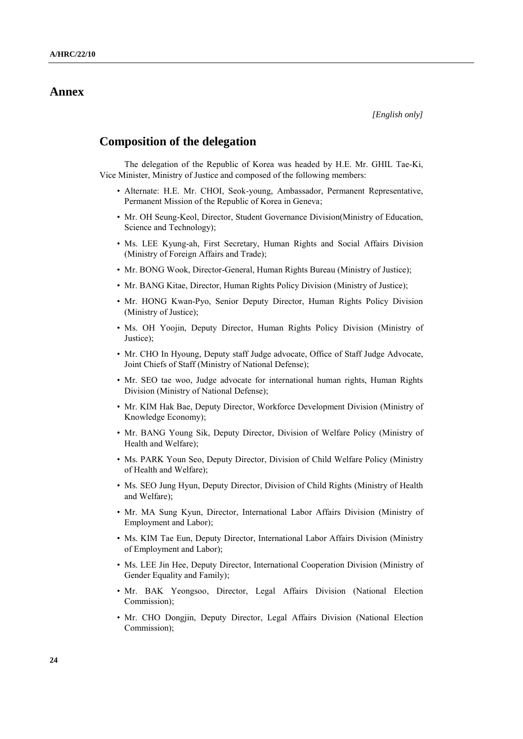# **Annex**

### **Composition of the delegation**

The delegation of the Republic of Korea was headed by H.E. Mr. GHIL Tae-Ki, Vice Minister, Ministry of Justice and composed of the following members:

- Alternate: H.E. Mr. CHOI, Seok-young, Ambassador, Permanent Representative, Permanent Mission of the Republic of Korea in Geneva;
- Mr. OH Seung-Keol, Director, Student Governance Division(Ministry of Education, Science and Technology);
- Ms. LEE Kyung-ah, First Secretary, Human Rights and Social Affairs Division (Ministry of Foreign Affairs and Trade);
- Mr. BONG Wook, Director-General, Human Rights Bureau (Ministry of Justice);
- Mr. BANG Kitae, Director, Human Rights Policy Division (Ministry of Justice);
- Mr. HONG Kwan-Pyo, Senior Deputy Director, Human Rights Policy Division (Ministry of Justice);
- Ms. OH Yoojin, Deputy Director, Human Rights Policy Division (Ministry of Justice);
- Mr. CHO In Hyoung, Deputy staff Judge advocate, Office of Staff Judge Advocate, Joint Chiefs of Staff (Ministry of National Defense);
- Mr. SEO tae woo, Judge advocate for international human rights, Human Rights Division (Ministry of National Defense);
- Mr. KIM Hak Bae, Deputy Director, Workforce Development Division (Ministry of Knowledge Economy);
- Mr. BANG Young Sik, Deputy Director, Division of Welfare Policy (Ministry of Health and Welfare);
- Ms. PARK Youn Seo, Deputy Director, Division of Child Welfare Policy (Ministry of Health and Welfare);
- Ms. SEO Jung Hyun, Deputy Director, Division of Child Rights (Ministry of Health and Welfare);
- Mr. MA Sung Kyun, Director, International Labor Affairs Division (Ministry of Employment and Labor);
- Ms. KIM Tae Eun, Deputy Director, International Labor Affairs Division (Ministry of Employment and Labor);
- Ms. LEE Jin Hee, Deputy Director, International Cooperation Division (Ministry of Gender Equality and Family);
- Mr. BAK Yeongsoo, Director, Legal Affairs Division (National Election Commission);
- Mr. CHO Dongjin, Deputy Director, Legal Affairs Division (National Election Commission);